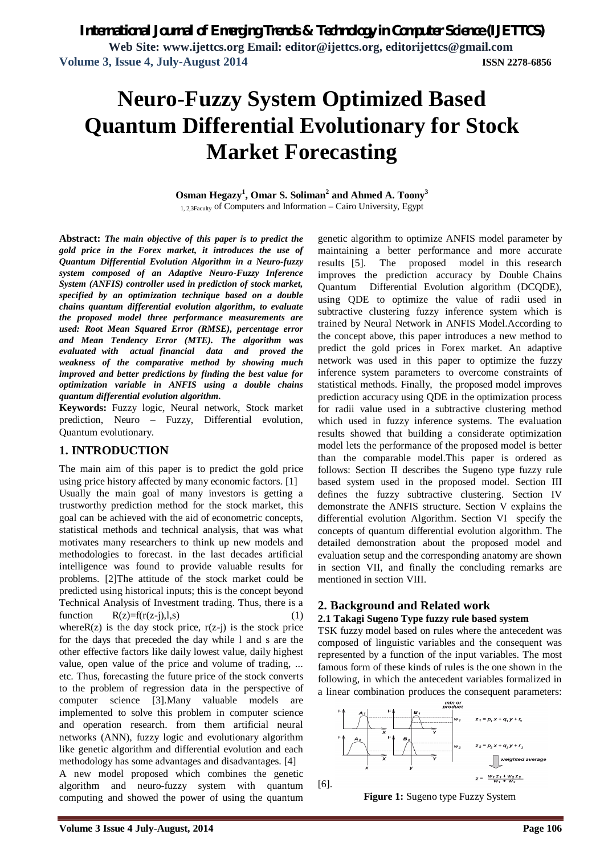**Web Site: www.ijettcs.org Email: editor@ijettcs.org, editorijettcs@gmail.com Volume 3, Issue 4, July-August 2014 ISSN 2278-6856**

# **Neuro-Fuzzy System Optimized Based Quantum Differential Evolutionary for Stock Market Forecasting**

#### **Osman Hegazy<sup>1</sup> , Omar S. Soliman<sup>2</sup> and Ahmed A. Toony<sup>3</sup>** 1, 2,3Faculty of Computers and Information – Cairo University, Egypt

**Abstract:** *The main objective of this paper is to predict the gold price in the Forex market, it introduces the use of Quantum Differential Evolution Algorithm in a Neuro-fuzzy system composed of an Adaptive Neuro-Fuzzy Inference System (ANFIS) controller used in prediction of stock market, specified by an optimization technique based on a double chains quantum differential evolution algorithm, to evaluate the proposed model three performance measurements are used: Root Mean Squared Error (RMSE), percentage error and Mean Tendency Error (MTE). The algorithm was evaluated with actual financial data and proved the weakness of the comparative method by showing much improved and better predictions by finding the best value for optimization variable in ANFIS using a double chains quantum differential evolution algorithm.*

**Keywords:** Fuzzy logic, Neural network, Stock market prediction, Neuro – Fuzzy, Differential evolution, Quantum evolutionary.

## **1. INTRODUCTION**

The main aim of this paper is to predict the gold price using price history affected by many economic factors. [1] Usually the main goal of many investors is getting a trustworthy prediction method for the stock market, this goal can be achieved with the aid of econometric concepts, statistical methods and technical analysis, that was what motivates many researchers to think up new models and methodologies to forecast. in the last decades artificial intelligence was found to provide valuable results for problems. [2]The attitude of the stock market could be predicted using historical inputs; this is the concept beyond Technical Analysis of Investment trading. Thus, there is a function  $R(z)=f(r(z-i),l,s)$  (1) where $R(z)$  is the day stock price,  $r(z-j)$  is the stock price for the days that preceded the day while l and s are the other effective factors like daily lowest value, daily highest value, open value of the price and volume of trading, ... etc. Thus, forecasting the future price of the stock converts to the problem of regression data in the perspective of computer science [3].Many valuable models are implemented to solve this problem in computer science and operation research. from them artificial neural networks (ANN), fuzzy logic and evolutionary algorithm like genetic algorithm and differential evolution and each methodology has some advantages and disadvantages. [4] A new model proposed which combines the genetic algorithm and neuro-fuzzy system with quantum

computing and showed the power of using the quantum

genetic algorithm to optimize ANFIS model parameter by maintaining a better performance and more accurate results [5]. The proposed model in this research improves the prediction accuracy by Double Chains Quantum Differential Evolution algorithm (DCQDE), using QDE to optimize the value of radii used in subtractive clustering fuzzy inference system which is trained by Neural Network in ANFIS Model.According to the concept above, this paper introduces a new method to predict the gold prices in Forex market. An adaptive network was used in this paper to optimize the fuzzy inference system parameters to overcome constraints of statistical methods. Finally, the proposed model improves prediction accuracy using QDE in the optimization process for radii value used in a subtractive clustering method which used in fuzzy inference systems. The evaluation results showed that building a considerate optimization model lets the performance of the proposed model is better than the comparable model.This paper is ordered as follows: Section II describes the Sugeno type fuzzy rule based system used in the proposed model. Section III defines the fuzzy subtractive clustering. Section IV demonstrate the ANFIS structure. Section V explains the differential evolution Algorithm. Section VI specify the concepts of quantum differential evolution algorithm. The detailed demonstration about the proposed model and evaluation setup and the corresponding anatomy are shown in section VII, and finally the concluding remarks are mentioned in section VIII.

## **2. Background and Related work**

#### **2.1 Takagi Sugeno Type fuzzy rule based system**

TSK fuzzy model based on rules where the antecedent was composed of linguistic variables and the consequent was represented by a function of the input variables. The most famous form of these kinds of rules is the one shown in the following, in which the antecedent variables formalized in a linear combination produces the consequent parameters:



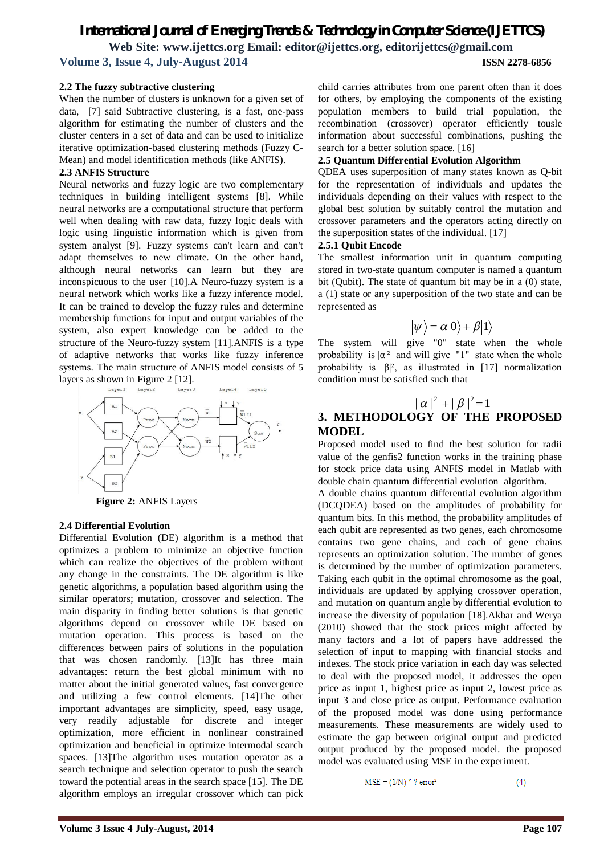#### **2.2 The fuzzy subtractive clustering**

When the number of clusters is unknown for a given set of data, [7] said Subtractive clustering, is a fast, one-pass algorithm for estimating the number of clusters and the cluster centers in a set of data and can be used to initialize iterative optimization-based clustering methods (Fuzzy C-Mean) and model identification methods (like ANFIS).

### **2.3 ANFIS Structure**

Neural networks and fuzzy logic are two complementary techniques in building intelligent systems [8]. While neural networks are a computational structure that perform well when dealing with raw data, fuzzy logic deals with logic using linguistic information which is given from system analyst [9]. Fuzzy systems can't learn and can't adapt themselves to new climate. On the other hand, although neural networks can learn but they are inconspicuous to the user [10].A Neuro-fuzzy system is a neural network which works like a fuzzy inference model. It can be trained to develop the fuzzy rules and determine membership functions for input and output variables of the system, also expert knowledge can be added to the structure of the Neuro-fuzzy system [11].ANFIS is a type of adaptive networks that works like fuzzy inference systems. The main structure of ANFIS model consists of 5 layers as shown in Figure 2 [12].



**Figure 2:** ANFIS Layers

#### **2.4 Differential Evolution**

Differential Evolution (DE) algorithm is a method that optimizes a problem to minimize an objective function which can realize the objectives of the problem without any change in the constraints. The DE algorithm is like genetic algorithms, a population based algorithm using the similar operators; mutation, crossover and selection. The main disparity in finding better solutions is that genetic algorithms depend on crossover while DE based on mutation operation. This process is based on the differences between pairs of solutions in the population that was chosen randomly. [13]It has three main advantages: return the best global minimum with no matter about the initial generated values, fast convergence and utilizing a few control elements. [14]The other important advantages are simplicity, speed, easy usage, very readily adjustable for discrete and integer optimization, more efficient in nonlinear constrained optimization and beneficial in optimize intermodal search spaces. [13]The algorithm uses mutation operator as a search technique and selection operator to push the search toward the potential areas in the search space [15]. The DE algorithm employs an irregular crossover which can pick

child carries attributes from one parent often than it does for others, by employing the components of the existing population members to build trial population, the recombination (crossover) operator efficiently tousle information about successful combinations, pushing the search for a better solution space. [16]

#### **2.5 Quantum Differential Evolution Algorithm**

QDEA uses superposition of many states known as Q-bit for the representation of individuals and updates the individuals depending on their values with respect to the global best solution by suitably control the mutation and crossover parameters and the operators acting directly on the superposition states of the individual. [17]

#### **2.5.1 Qubit Encode**

The smallest information unit in quantum computing stored in two-state quantum computer is named a quantum bit (Qubit). The state of quantum bit may be in a (0) state, a (1) state or any superposition of the two state and can be represented as

$$
|\psi\rangle = \alpha|0\rangle + \beta|1\rangle
$$

The system will give "0" state when the whole probability is  $|\alpha|^2$  and will give "1" state when the whole probability is  $|\beta|^2$ , as illustrated in [17] normalization condition must be satisfied such that

## $|\alpha|^2 + |\beta|^2 = 1$

## **3. METHODOLOGY OF THE PROPOSED MODEL**

Proposed model used to find the best solution for radii value of the genfis2 function works in the training phase for stock price data using ANFIS model in Matlab with double chain quantum differential evolution algorithm.

A double chains quantum differential evolution algorithm (DCQDEA) based on the amplitudes of probability for quantum bits. In this method, the probability amplitudes of each qubit are represented as two genes, each chromosome contains two gene chains, and each of gene chains represents an optimization solution. The number of genes is determined by the number of optimization parameters. Taking each qubit in the optimal chromosome as the goal, individuals are updated by applying crossover operation, and mutation on quantum angle by differential evolution to increase the diversity of population [18].Akbar and Werya (2010) showed that the stock prices might affected by many factors and a lot of papers have addressed the selection of input to mapping with financial stocks and indexes. The stock price variation in each day was selected to deal with the proposed model, it addresses the open price as input 1, highest price as input 2, lowest price as input 3 and close price as output. Performance evaluation of the proposed model was done using performance measurements. These measurements are widely used to estimate the gap between original output and predicted output produced by the proposed model. the proposed model was evaluated using MSE in the experiment.

$$
MSE = (1/N)^{*} ? error2
$$
 (4)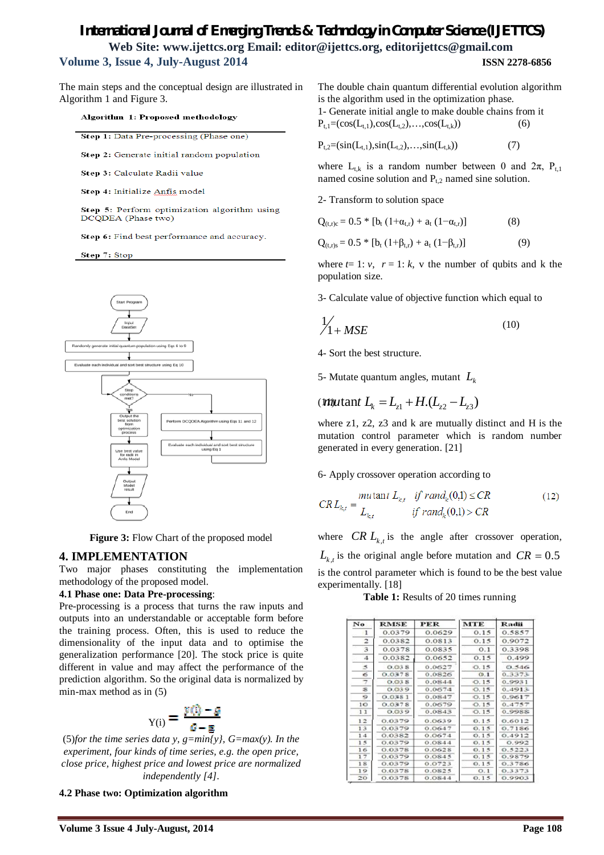The main steps and the conceptual design are illustrated in Algorithm 1 and Figure 3.

Algorithm 1: Proposed methodology

Step 1: Data Pre-processing (Phase one)

Step 2: Generate initial random population

Step 3: Calculate Radii value

Step 4: Initialize Anfis model

Step 5: Perform optimization algorithm using DCQDEA (Phase two)

Step 6: Find best performance and accuracy.

Step 7: Stop



**Figure 3:** Flow Chart of the proposed model

#### **4. IMPLEMENTATION**

Two major phases constituting the implementation methodology of the proposed model.

#### **4.1 Phase one: Data Pre-processing**:

Pre-processing is a process that turns the raw inputs and outputs into an understandable or acceptable form before the training process. Often, this is used to reduce the dimensionality of the input data and to optimise the generalization performance [20]. The stock price is quite different in value and may affect the performance of the prediction algorithm. So the original data is normalized by min-max method as in (5)

$$
Y_{Y(i)} = \frac{y(i) - g}{g - g}
$$

(5)*for the time series data y, g=min{y}, G=max(y). In the experiment, four kinds of time series, e.g. the open price, close price, highest price and lowest price are normalized independently [4].* 

**4.2 Phase two: Optimization algorithm**

The double chain quantum differential evolution algorithm is the algorithm used in the optimization phase. 1- Generate initial angle to make double chains from it  $P_{t,1}=(\cos(L_{t,1}),\cos(L_{t,2}),\ldots,\cos(L_{t,k}))$  (6)

 $P_{t,2} = (sin(L_{t,1}),sin(L_{t,2}),...,sin(L_{t,k}))$  (7)

where  $L_{t,k}$  is a random number between 0 and  $2\pi$ ,  $P_{t,1}$ named cosine solution and  $P_{t,2}$  named sine solution.

2- Transform to solution space

$$
Q_{(t,r)c} = 0.5 * [b_t (1 + \alpha_{t,r}) + a_t (1 - \alpha_{t,r})]
$$
(8)

 $Q_{(t,r)s} = 0.5 * [b_t (1 + \beta_{t,r}) + a_t (1 - \beta_{t,r})]$  (9)

where  $t=1$ :  $v$ ,  $r=1$ :  $k$ ,  $v$  the number of qubits and k the population size.

3- Calculate value of objective function which equal to

$$
\frac{1}{1 + MSE} \tag{10}
$$

4- Sort the best structure.

5- Mutate quantum angles, mutant *L<sup>k</sup>*

# $L_k = L_{z1} + H(L_{z2} - L_{z3})$

where z1, z2, z3 and k are mutually distinct and H is the mutation control parameter which is random number generated in every generation. [21]

6- Apply crossover operation according to

$$
CRL_{k,t} = \frac{mutant L_{k,t}}{L_{k,t}} \quad \text{if } rand_k(0,1) \le CR \tag{12}
$$
\n
$$
CRL_{k,t} = \frac{tr{dr}{dt} \quad \text{if } rand_k(0,1) > CR
$$

where *CR*  $L_{k,t}$  is the angle after crossover operation,  $L_{k,t}$  is the original angle before mutation and  $CR = 0.5$ is the control parameter which is found to be the best value

experimentally. [18]

**Table 1:** Results of 20 times running

| No.             | <b>RMSE</b> | <b>PER</b> | <b>MTE</b> | <b>Radii</b> |
|-----------------|-------------|------------|------------|--------------|
| 1               | 0.0379      | 0.0629     | 0.15       | 0.5857       |
| 2               | 0.0382      | 0.0813     | 0.15       | 0.9072       |
| 3               | 0.0378      | 0.0835     | O.1        | 0.3398       |
| 4               | 0.0382      | 0.0652     | 0.15       | 0.499        |
| 3               | 0.038       | 0.0627     | O.15       | 0.546        |
| 65              | 0.0378      | 0.0826     | O.1        | 0.3373       |
| 7               | O.O3S       | 0.0844     | O.15       | 0.9931       |
| 28              | 0.039       | 0.0674     | O.15       | 0.4913       |
| 9               | 0.0381      | 0.0847     | O.15       | 0.9617       |
| 1 <sup>o</sup>  | 0.0378      | 0.0679     | 0.15       | 0.4757       |
| 11              | 0.039       | 0.0843     | O.15       | 0.9988       |
| 12              | 0.0379      | 0.0639     | 0.15       | 0.6012       |
| 13              | 0.0379      | 0.0647     | 0.15       | 0.7186       |
| 14              | 0.0382      | 0.0674     | 0.15       | 0.4912       |
| 1 <sup>5</sup>  | 0.0379      | 0.0844     | 0.15       | 0.992        |
| 16              | 0.0378      | 0.0628     | 0.15       | 0.5223       |
| 17              | 0.0379      | 0.0845     | 0.15       | 0.9879       |
| 18              | 0.0379      | 0.0723     | 0.15       | 0.3786       |
| 19              | 0.0378      | 0.0825     | O.1        | 0.3373       |
| 20 <sup>°</sup> | 0.0378      | 0.0844     | 0.15       | 0.9903       |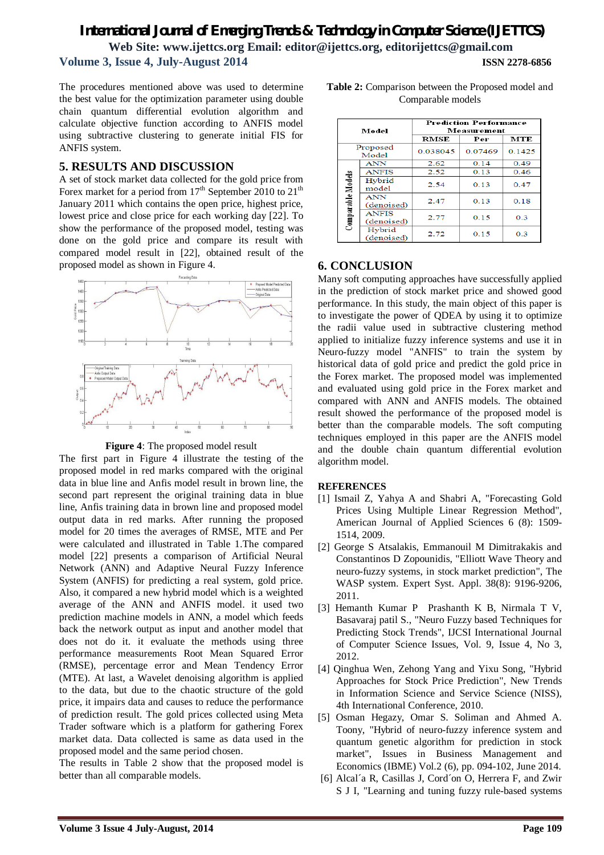The procedures mentioned above was used to determine the best value for the optimization parameter using double chain quantum differential evolution algorithm and calculate objective function according to ANFIS model using subtractive clustering to generate initial FIS for ANFIS system.

## **5. RESULTS AND DISCUSSION**

A set of stock market data collected for the gold price from Forex market for a period from  $17<sup>th</sup>$  September 2010 to  $21<sup>th</sup>$ January 2011 which contains the open price, highest price, lowest price and close price for each working day [22]. To show the performance of the proposed model, testing was done on the gold price and compare its result with compared model result in [22], obtained result of the proposed model as shown in Figure 4.



**Figure 4**: The proposed model result

The first part in Figure 4 illustrate the testing of the proposed model in red marks compared with the original data in blue line and Anfis model result in brown line, the second part represent the original training data in blue line, Anfis training data in brown line and proposed model output data in red marks. After running the proposed model for 20 times the averages of RMSE, MTE and Per were calculated and illustrated in Table 1.The compared model [22] presents a comparison of Artificial Neural Network (ANN) and Adaptive Neural Fuzzy Inference System (ANFIS) for predicting a real system, gold price. Also, it compared a new hybrid model which is a weighted average of the ANN and ANFIS model. it used two prediction machine models in ANN, a model which feeds back the network output as input and another model that does not do it. it evaluate the methods using three performance measurements Root Mean Squared Error (RMSE), percentage error and Mean Tendency Error (MTE). At last, a Wavelet denoising algorithm is applied to the data, but due to the chaotic structure of the gold price, it impairs data and causes to reduce the performance of prediction result. The gold prices collected using Meta Trader software which is a platform for gathering Forex market data. Data collected is same as data used in the proposed model and the same period chosen.

The results in Table 2 show that the proposed model is better than all comparable models.

| Table 2: Comparison between the Proposed model and |                   |  |  |
|----------------------------------------------------|-------------------|--|--|
|                                                    | Comparable models |  |  |

| Model             |                            | <b>Prediction Performance</b><br>Measurement |         |        |  |
|-------------------|----------------------------|----------------------------------------------|---------|--------|--|
|                   |                            | <b>RMSE</b>                                  | Per     | MTE    |  |
| Proposed<br>Model |                            | 0.038045                                     | 0.07469 | 0.1425 |  |
|                   | <b>ANN</b>                 | 2.62                                         | 0.14    | 0.49   |  |
| Comparable Models | <b>ANFIS</b>               | 2.52                                         | 0.13    | 0.46   |  |
|                   | Hybrid<br>model            | 2.54                                         | 0.13    | 0.47   |  |
|                   | <b>ANN</b><br>(denoised)   | 2.47                                         | 0.13    | 0.18   |  |
|                   | <b>ANFIS</b><br>(denoised) | 2.77                                         | 0.15    | 0.3    |  |
|                   | Hybrid<br>(denoised)       | 2.72                                         | 0.15    | 0.3    |  |

## **6. CONCLUSION**

Many soft computing approaches have successfully applied in the prediction of stock market price and showed good performance. In this study, the main object of this paper is to investigate the power of QDEA by using it to optimize the radii value used in subtractive clustering method applied to initialize fuzzy inference systems and use it in Neuro-fuzzy model "ANFIS" to train the system by historical data of gold price and predict the gold price in the Forex market. The proposed model was implemented and evaluated using gold price in the Forex market and compared with ANN and ANFIS models. The obtained result showed the performance of the proposed model is better than the comparable models. The soft computing techniques employed in this paper are the ANFIS model and the double chain quantum differential evolution algorithm model.

## **REFERENCES**

- [1] Ismail Z, Yahya A and Shabri A, "Forecasting Gold Prices Using Multiple Linear Regression Method", American Journal of Applied Sciences 6 (8): 1509- 1514, 2009.
- [2] George S Atsalakis, Emmanouil M Dimitrakakis and Constantinos D Zopounidis, "Elliott Wave Theory and neuro-fuzzy systems, in stock market prediction", The WASP system. Expert Syst. Appl. 38(8): 9196-9206, 2011.
- [3] Hemanth Kumar P Prashanth K B, Nirmala T V, Basavaraj patil S., "Neuro Fuzzy based Techniques for Predicting Stock Trends", IJCSI International Journal of Computer Science Issues, Vol. 9, Issue 4, No 3, 2012.
- [4] Qinghua Wen, Zehong Yang and Yixu Song, "Hybrid Approaches for Stock Price Prediction", New Trends in Information Science and Service Science (NISS), 4th International Conference, 2010.
- [5] Osman Hegazy, Omar S. Soliman and Ahmed A. Toony, "Hybrid of neuro-fuzzy inference system and quantum genetic algorithm for prediction in stock market", Issues in Business Management and Economics (IBME) Vol.2 (6), pp. 094-102, June 2014.
- [6] Alcal´a R, Casillas J, Cord´on O, Herrera F, and Zwir S J I, "Learning and tuning fuzzy rule-based systems